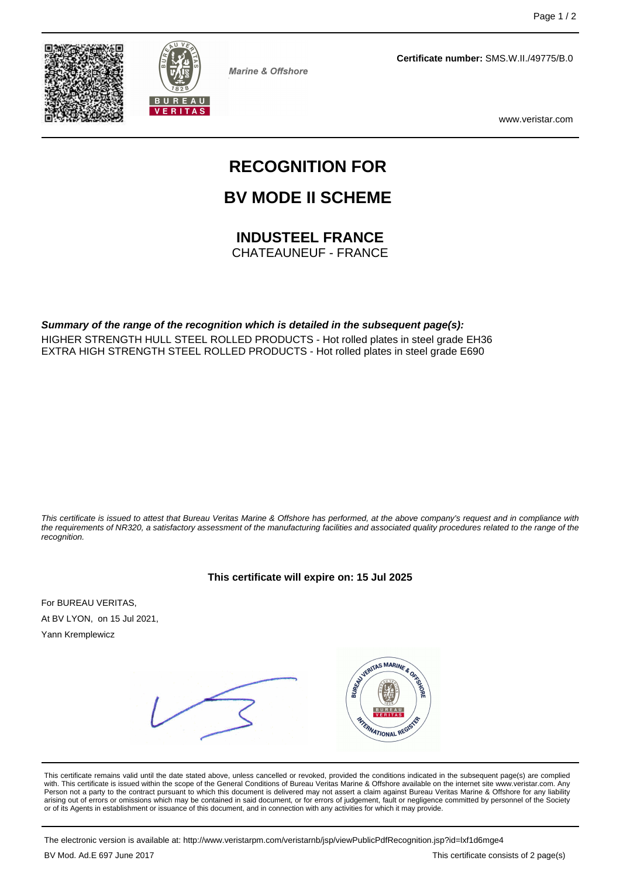



**Marine & Offshore** 

**Certificate number:** SMS.W.II./49775/B.0

www.veristar.com

# **RECOGNITION FOR**

## **BV MODE II SCHEME**

### **INDUSTEEL FRANCE**

CHATEAUNEUF - FRANCE

**Summary of the range of the recognition which is detailed in the subsequent page(s):** HIGHER STRENGTH HULL STEEL ROLLED PRODUCTS - Hot rolled plates in steel grade EH36 EXTRA HIGH STRENGTH STEEL ROLLED PRODUCTS - Hot rolled plates in steel grade E690

This certificate is issued to attest that Bureau Veritas Marine & Offshore has performed, at the above company's request and in compliance with the requirements of NR320, a satisfactory assessment of the manufacturing facilities and associated quality procedures related to the range of the recognition.

For BUREAU VERITAS, At BV LYON, on 15 Jul 2021, Yann Kremplewicz

VERITAS MARINE & OR FRANATIONAL REGIS

This certificate remains valid until the date stated above, unless cancelled or revoked, provided the conditions indicated in the subsequent page(s) are complied with. This certificate is issued within the scope of the General Conditions of Bureau Veritas Marine & Offshore available on the internet site www.veristar.com. Any Person not a party to the contract pursuant to which this document is delivered may not assert a claim against Bureau Veritas Marine & Offshore for any liability arising out of errors or omissions which may be contained in said document, or for errors of judgement, fault or negligence committed by personnel of the Society<br>or of its Agents in establishment or issuance of this docume

The electronic version is available at: http://www.veristarpm.com/veristarnb/jsp/viewPublicPdfRecognition.jsp?id=lxf1d6mge4